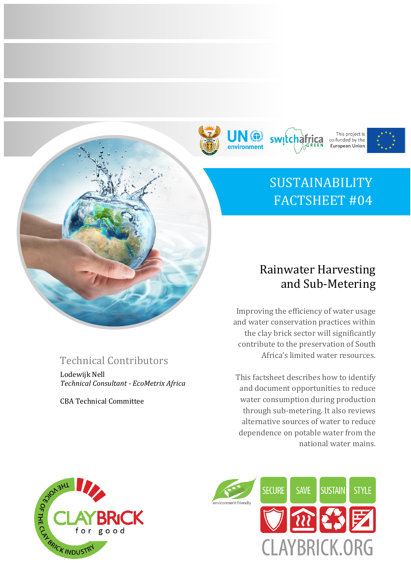







# SUSTAINABILITY FACTSHEET #04

## Technical Contributors

Lodewijk Nell *Technical Consultant - EcoMetrix Africa*

CBA Technical Committee

### Rainwater Harvesting and Sub-Metering

Improving the efficiency of water usage and water conservation practices within the clay brick sector will significantly contribute to the preservation of South Africa's limited water resources.

This factsheet describes how to identify and document opportunities to reduce water consumption during production through sub-metering. It also reviews alternative sources of water to reduce dependence on potable water from the national water mains.



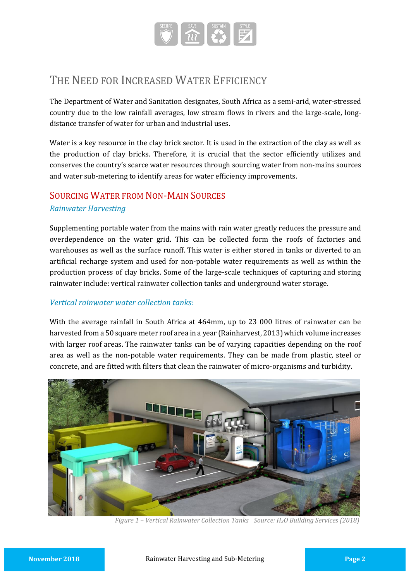

### THE NEED FOR INCREASED WATER EFFICIENCY

The Department of Water and Sanitation designates, South Africa as a semi-arid, water-stressed country due to the low rainfall averages, low stream flows in rivers and the large-scale, longdistance transfer of water for urban and industrial uses.

Water is a key resource in the clay brick sector. It is used in the extraction of the clay as well as the production of clay bricks. Therefore, it is crucial that the sector efficiently utilizes and conserves the country's scarce water resources through sourcing water from non-mains sources and water sub-metering to identify areas for water efficiency improvements.

#### SOURCING WATER FROM NON-MAIN SOURCES

#### *Rainwater Harvesting*

Supplementing portable water from the mains with rain water greatly reduces the pressure and overdependence on the water grid. This can be collected form the roofs of factories and warehouses as well as the surface runoff. This water is either stored in tanks or diverted to an artificial recharge system and used for non-potable water requirements as well as within the production process of clay bricks. Some of the large-scale techniques of capturing and storing rainwater include: vertical rainwater collection tanks and underground water storage.

#### *Vertical rainwater water collection tanks:*

With the average rainfall in South Africa at 464mm, up to 23 000 litres of rainwater can be harvested from a 50 square meter roof area in a year (Rainharvest, 2013) which volume increases with larger roof areas. The rainwater tanks can be of varying capacities depending on the roof area as well as the non-potable water requirements. They can be made from plastic, steel or concrete, and are fitted with filters that clean the rainwater of micro-organisms and turbidity.



*Figure 1 – Vertical Rainwater Collection Tanks Source: H2O Building Services (2018)*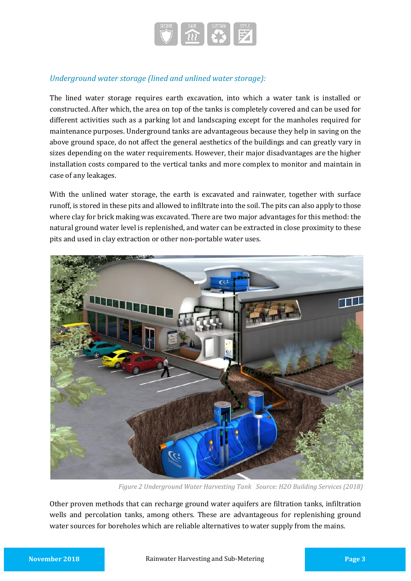

#### *Underground water storage (lined and unlined water storage):*

The lined water storage requires earth excavation, into which a water tank is installed or constructed. After which, the area on top of the tanks is completely covered and can be used for different activities such as a parking lot and landscaping except for the manholes required for maintenance purposes. Underground tanks are advantageous because they help in saving on the above ground space, do not affect the general aesthetics of the buildings and can greatly vary in sizes depending on the water requirements. However, their major disadvantages are the higher installation costs compared to the vertical tanks and more complex to monitor and maintain in case of any leakages.

With the unlined water storage, the earth is excavated and rainwater, together with surface runoff, is stored in these pits and allowed to infiltrate into the soil. The pits can also apply to those where clay for brick making was excavated. There are two major advantages for this method: the natural ground water level is replenished, and water can be extracted in close proximity to these pits and used in clay extraction or other non-portable water uses.



*Figure 2 Underground Water Harvesting Tank Source: H2O Building Services (2018)*

Other proven methods that can recharge ground water aquifers are filtration tanks, infiltration wells and percolation tanks, among others. These are advantageous for replenishing ground water sources for boreholes which are reliable alternatives to water supply from the mains.